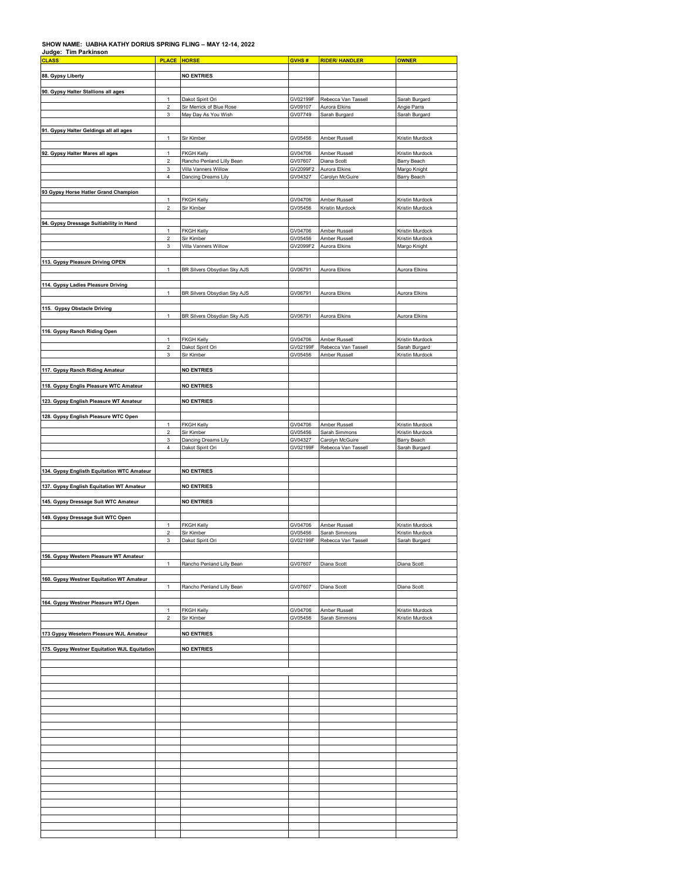## **SHOW NAME: UABHA KATHY DORIUS SPRING FLING – MAY 12-14, 2022 Judge: Tim Parkinson**

| <b>CLASS</b>                                 | <b>PLACE HORSE</b>                      |                                                   | GVHS#               | <b>RIDER/ HANDLER</b>                | <b>OWNER</b>                       |
|----------------------------------------------|-----------------------------------------|---------------------------------------------------|---------------------|--------------------------------------|------------------------------------|
| 88. Gypsy Liberty                            |                                         | <b>NO ENTRIES</b>                                 |                     |                                      |                                    |
|                                              |                                         |                                                   |                     |                                      |                                    |
| 90. Gypsy Halter Stallions all ages          |                                         |                                                   |                     |                                      |                                    |
|                                              | $\mathbf{1}$<br>$\overline{\mathbf{c}}$ | Dakot Spirit Ori<br>Sir Merrick of Blue Rose      | GV02199F<br>GV09107 | Rebecca Van Tassell<br>Aurora Elkins | Sarah Burgard<br>Angie Parra       |
|                                              | 3                                       | May Day As You Wish                               | GV07749             | Sarah Burgard                        | Sarah Burgard                      |
|                                              |                                         |                                                   |                     |                                      |                                    |
| 91. Gypsy Halter Geldings all all ages       | $\mathbf{1}$                            | Sir Kimber                                        | GV05456             | Amber Russell                        | Kristin Murdock                    |
|                                              |                                         |                                                   |                     |                                      |                                    |
| 92. Gypsy Halter Mares all ages              | 1                                       | <b>FKGH Kelly</b>                                 | GV04706             | Amber Russell                        | Kristin Murdock                    |
|                                              | 2<br>3                                  | Rancho Penland Lilly Bean<br>Villa Vanners Willow | GV07607<br>GV2099F2 | Diana Scott<br>Aurora Elkins         | Barry Beach<br>Margo Knight        |
|                                              | 4                                       | Dancing Dreams Lily                               | GV04327             | Carolyn McGuire                      | Barry Beach                        |
|                                              |                                         |                                                   |                     |                                      |                                    |
| 93 Gypsy Horse Hatler Grand Champion         | 1                                       | <b>FKGH Kelly</b>                                 | GV04706             | Amber Russell                        | Kristin Murdock                    |
|                                              | $\overline{\mathbf{c}}$                 | Sir Kimber                                        | GV05456             | Kristin Murdock                      | Kristin Murdock                    |
|                                              |                                         |                                                   |                     |                                      |                                    |
| 94. Gypsy Dressage Suitiability in Hand      |                                         |                                                   |                     |                                      |                                    |
|                                              | 1<br>$\overline{\mathbf{c}}$            | <b>FKGH Kelly</b><br>Sir Kimber                   | GV04706<br>GV05456  | Amber Russell<br>Amber Russell       | Kristin Murdock<br>Kristin Murdock |
|                                              | 3                                       | Villa Vanners Willow                              | GV2099F2            | Aurora Elkins                        | Margo Knight                       |
|                                              |                                         |                                                   |                     |                                      |                                    |
| 113. Gypsy Pleasure Driving OPEN             | $\mathbf{1}$                            | BR Silvers Obsydian Sky AJS                       | GV06791             | Aurora Elkins                        | Aurora Elkins                      |
|                                              |                                         |                                                   |                     |                                      |                                    |
| 114. Gypsy Ladies Pleasure Driving           |                                         |                                                   |                     |                                      |                                    |
|                                              | $\mathbf{1}$                            | BR Silvers Obsydian Sky AJS                       | GV06791             | Aurora Elkins                        | Aurora Elkins                      |
| 115. Gypsy Obstacle Driving                  |                                         |                                                   |                     |                                      |                                    |
|                                              | $\mathbf{1}$                            | BR Silvers Obsydian Sky AJS                       | GV06791             | Aurora Elkins                        | Aurora Elkins                      |
| 116. Gypsy Ranch Riding Open                 |                                         |                                                   |                     |                                      |                                    |
|                                              | 1                                       | <b>FKGH Kelly</b>                                 | GV04706             | Amber Russell                        | Kristin Murdock                    |
|                                              | 2                                       | Dakot Spirit Ori                                  | GV02199F            | Rebecca Van Tassell                  | Sarah Burgard                      |
|                                              | 3                                       | Sir Kimber                                        | GV05456             | Amber Russell                        | Kristin Murdock                    |
| 117. Gypsy Ranch Riding Amateur              |                                         | <b>NO ENTRIES</b>                                 |                     |                                      |                                    |
|                                              |                                         |                                                   |                     |                                      |                                    |
| 118. Gypsy Englis Pleasure WTC Amateur       |                                         | <b>NO ENTRIES</b>                                 |                     |                                      |                                    |
| 123. Gypsy English Pleasure WT Amateur       |                                         | <b>NO ENTRIES</b>                                 |                     |                                      |                                    |
|                                              |                                         |                                                   |                     |                                      |                                    |
| 128. Gypsy English Pleasure WTC Open         |                                         |                                                   |                     |                                      |                                    |
|                                              | 1<br>$\overline{\mathbf{c}}$            | <b>FKGH Kelly</b><br>Sir Kimber                   | GV04706<br>GV05456  | Amber Russell<br>Sarah Simmons       | Kristin Murdock<br>Kristin Murdock |
|                                              | 3                                       | Dancing Dreams Lily                               | GV04327             | Carolyn McGuire                      | <b>Barry Beach</b>                 |
|                                              | 4                                       | Dakot Spirit Ori                                  | GV02199F            | Rebecca Van Tassell                  | Sarah Burgard                      |
|                                              |                                         |                                                   |                     |                                      |                                    |
| 134. Gypsy Englisth Equitation WTC Amateur   |                                         | <b>NO ENTRIES</b>                                 |                     |                                      |                                    |
|                                              |                                         |                                                   |                     |                                      |                                    |
| 137. Gypsy English Equitation WT Amateur     |                                         | <b>NO ENTRIES</b>                                 |                     |                                      |                                    |
| 145. Gypsy Dressage Suit WTC Amateur         |                                         | <b>NO ENTRIES</b>                                 |                     |                                      |                                    |
|                                              |                                         |                                                   |                     |                                      |                                    |
| 149. Gypsy Dressage Suit WTC Open            | 1                                       | <b>FKGH Kelly</b>                                 | GV04706             | Amber Russell                        | Kristin Murdock                    |
|                                              | $\boldsymbol{2}$                        | Sir Kimber                                        | GV05456             | Sarah Simmons                        | Kristin Murdock                    |
|                                              | 3                                       | Dakot Spirit Ori                                  | GV02199F            | Rebecca Van Tassell                  | Sarah Burgard                      |
|                                              |                                         |                                                   |                     |                                      |                                    |
| 156. Gypsy Western Pleasure WT Amateur       | 1                                       | Rancho Penland Lilly Bean                         | GV07607             | Diana Scott                          | Diana Scott                        |
|                                              |                                         |                                                   |                     |                                      |                                    |
| 160. Gypsy Westner Equitation WT Amateur     |                                         |                                                   |                     |                                      |                                    |
|                                              | 1                                       | Rancho Penland Lilly Bean                         | GV07607             | Diana Scott                          | Diana Scott                        |
| 164. Gypsy Westner Pleasure WTJ Open         |                                         |                                                   |                     |                                      |                                    |
|                                              | 1<br>$\boldsymbol{2}$                   | FKGH Kelly<br>Sir Kimber                          | GV04706<br>GV05456  | Amber Russell                        | Kristin Murdock<br>Kristin Murdock |
|                                              |                                         |                                                   |                     | Sarah Simmons                        |                                    |
| 173 Gypsy Wesetern Pleasure WJL Amateur      |                                         | <b>NO ENTRIES</b>                                 |                     |                                      |                                    |
|                                              |                                         |                                                   |                     |                                      |                                    |
| 175. Gypsy Westner Equitation WJL Equitation |                                         | <b>NO ENTRIES</b>                                 |                     |                                      |                                    |
|                                              |                                         |                                                   |                     |                                      |                                    |
|                                              |                                         |                                                   |                     |                                      |                                    |
|                                              |                                         |                                                   |                     |                                      |                                    |
|                                              |                                         |                                                   |                     |                                      |                                    |
|                                              |                                         |                                                   |                     |                                      |                                    |
|                                              |                                         |                                                   |                     |                                      |                                    |
|                                              |                                         |                                                   |                     |                                      |                                    |
|                                              |                                         |                                                   |                     |                                      |                                    |
|                                              |                                         |                                                   |                     |                                      |                                    |
|                                              |                                         |                                                   |                     |                                      |                                    |
|                                              |                                         |                                                   |                     |                                      |                                    |
|                                              |                                         |                                                   |                     |                                      |                                    |
|                                              |                                         |                                                   |                     |                                      |                                    |
|                                              |                                         |                                                   |                     |                                      |                                    |
|                                              |                                         |                                                   |                     |                                      |                                    |
|                                              |                                         |                                                   |                     |                                      |                                    |
|                                              |                                         |                                                   |                     |                                      |                                    |
|                                              |                                         |                                                   |                     |                                      |                                    |